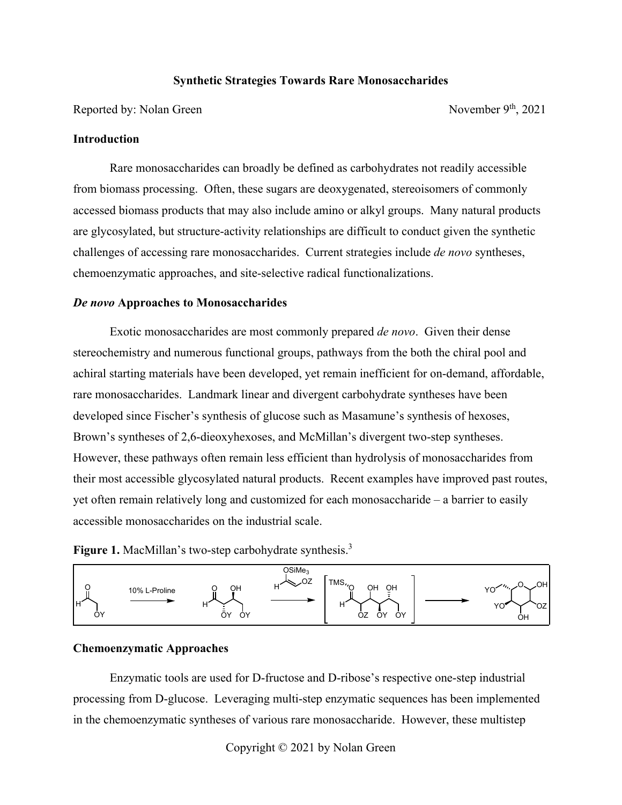## **Synthetic Strategies Towards Rare Monosaccharides**

Reported by: Nolan Green November 9<sup>th</sup>, 2021

#### **Introduction**

 Rare monosaccharides can broadly be defined as carbohydrates not readily accessible from biomass processing. Often, these sugars are deoxygenated, stereoisomers of commonly accessed biomass products that may also include amino or alkyl groups. Many natural products are glycosylated, but structure-activity relationships are difficult to conduct given the synthetic challenges of accessing rare monosaccharides. Current strategies include *de novo* syntheses, chemoenzymatic approaches, and site-selective radical functionalizations.

### *De novo* **Approaches to Monosaccharides**

 Exotic monosaccharides are most commonly prepared *de novo*. Given their dense stereochemistry and numerous functional groups, pathways from the both the chiral pool and achiral starting materials have been developed, yet remain inefficient for on-demand, affordable, rare monosaccharides. Landmark linear and divergent carbohydrate syntheses have been developed since Fischer's synthesis of glucose such as Masamune's synthesis of hexoses, Brown's syntheses of 2,6-dieoxyhexoses, and McMillan's divergent two-step syntheses. However, these pathways often remain less efficient than hydrolysis of monosaccharides from their most accessible glycosylated natural products. Recent examples have improved past routes, yet often remain relatively long and customized for each monosaccharide – a barrier to easily accessible monosaccharides on the industrial scale.

**Figure 1.** MacMillan's two-step carbohydrate synthesis.<sup>3</sup>



# **Chemoenzymatic Approaches**

 Enzymatic tools are used for D-fructose and D-ribose's respective one-step industrial processing from D-glucose. Leveraging multi-step enzymatic sequences has been implemented in the chemoenzymatic syntheses of various rare monosaccharide. However, these multistep

Copyright © 2021 by Nolan Green